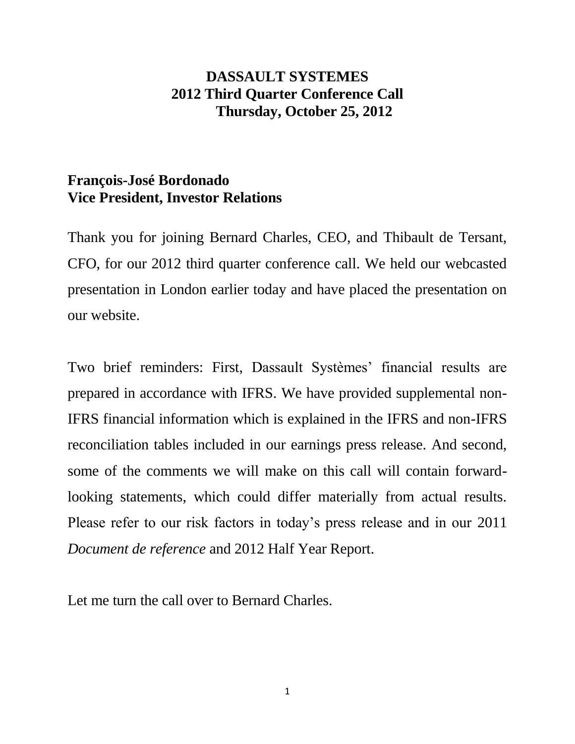## **DASSAULT SYSTEMES 2012 Third Quarter Conference Call Thursday, October 25, 2012**

## **François-José Bordonado Vice President, Investor Relations**

Thank you for joining Bernard Charles, CEO, and Thibault de Tersant, CFO, for our 2012 third quarter conference call. We held our webcasted presentation in London earlier today and have placed the presentation on our website.

Two brief reminders: First, Dassault Systèmes' financial results are prepared in accordance with IFRS. We have provided supplemental non-IFRS financial information which is explained in the IFRS and non-IFRS reconciliation tables included in our earnings press release. And second, some of the comments we will make on this call will contain forwardlooking statements, which could differ materially from actual results. Please refer to our risk factors in today's press release and in our 2011 *Document de reference* and 2012 Half Year Report.

Let me turn the call over to Bernard Charles.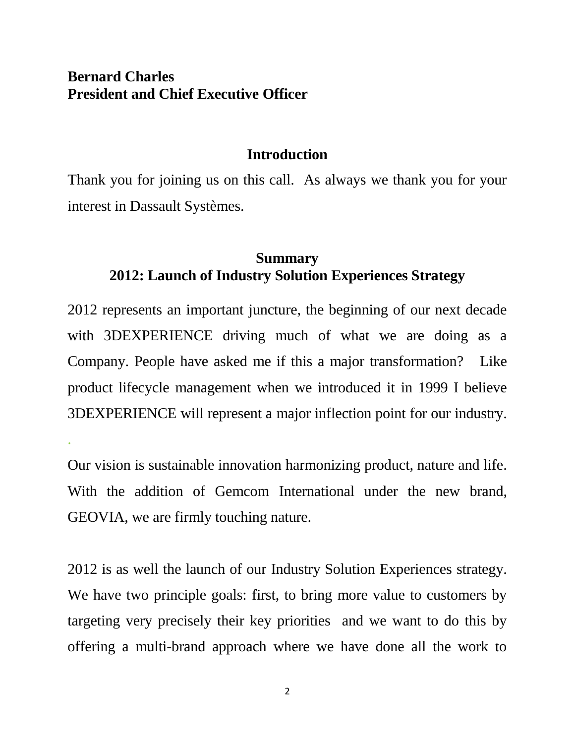## **Bernard Charles President and Chief Executive Officer**

.

### **Introduction**

Thank you for joining us on this call. As always we thank you for your interest in Dassault Systèmes.

## **Summary 2012: Launch of Industry Solution Experiences Strategy**

2012 represents an important juncture, the beginning of our next decade with 3DEXPERIENCE driving much of what we are doing as a Company. People have asked me if this a major transformation? Like product lifecycle management when we introduced it in 1999 I believe 3DEXPERIENCE will represent a major inflection point for our industry.

Our vision is sustainable innovation harmonizing product, nature and life. With the addition of Gemcom International under the new brand, GEOVIA, we are firmly touching nature.

2012 is as well the launch of our Industry Solution Experiences strategy. We have two principle goals: first, to bring more value to customers by targeting very precisely their key priorities and we want to do this by offering a multi-brand approach where we have done all the work to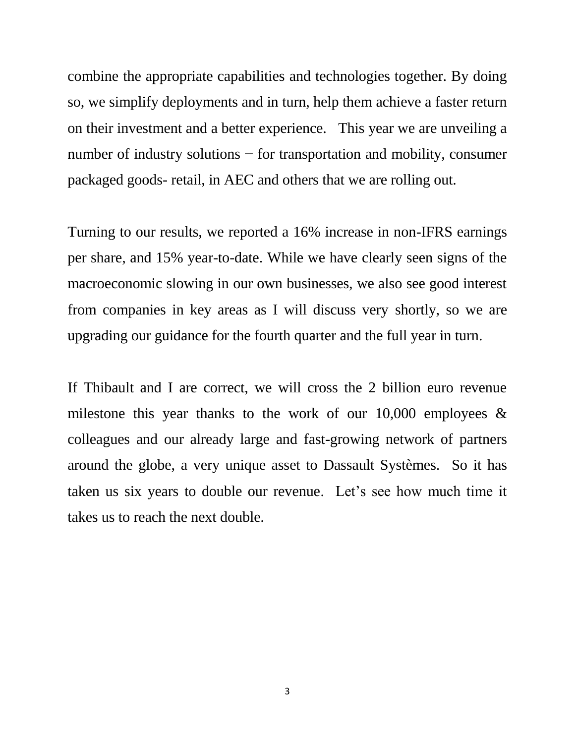combine the appropriate capabilities and technologies together. By doing so, we simplify deployments and in turn, help them achieve a faster return on their investment and a better experience. This year we are unveiling a number of industry solutions − for transportation and mobility, consumer packaged goods- retail, in AEC and others that we are rolling out.

Turning to our results, we reported a 16% increase in non-IFRS earnings per share, and 15% year-to-date. While we have clearly seen signs of the macroeconomic slowing in our own businesses, we also see good interest from companies in key areas as I will discuss very shortly, so we are upgrading our guidance for the fourth quarter and the full year in turn.

If Thibault and I are correct, we will cross the 2 billion euro revenue milestone this year thanks to the work of our 10,000 employees  $\&$ colleagues and our already large and fast-growing network of partners around the globe, a very unique asset to Dassault Systèmes. So it has taken us six years to double our revenue. Let's see how much time it takes us to reach the next double.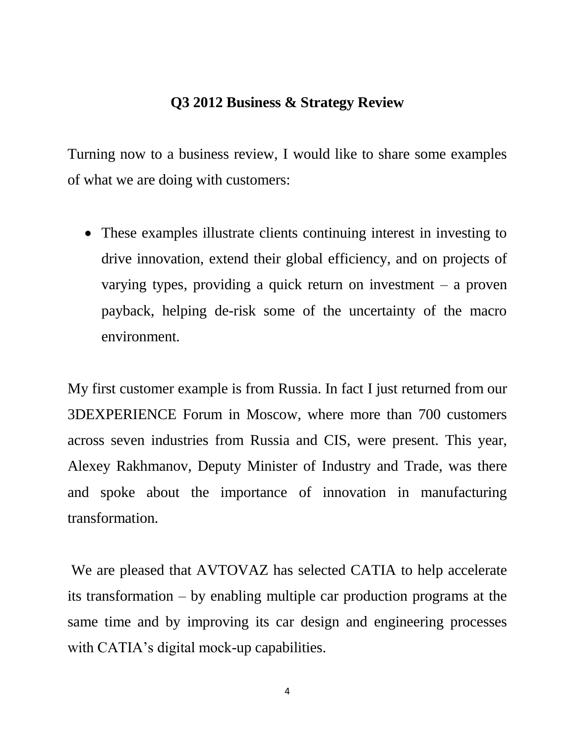### **Q3 2012 Business & Strategy Review**

Turning now to a business review, I would like to share some examples of what we are doing with customers:

 These examples illustrate clients continuing interest in investing to drive innovation, extend their global efficiency, and on projects of varying types, providing a quick return on investment – a proven payback, helping de-risk some of the uncertainty of the macro environment.

My first customer example is from Russia. In fact I just returned from our 3DEXPERIENCE Forum in Moscow, where more than 700 customers across seven industries from Russia and CIS, were present. This year, Alexey Rakhmanov, Deputy Minister of Industry and Trade, was there and spoke about the importance of innovation in manufacturing transformation.

We are pleased that AVTOVAZ has selected CATIA to help accelerate its transformation – by enabling multiple car production programs at the same time and by improving its car design and engineering processes with CATIA's digital mock-up capabilities.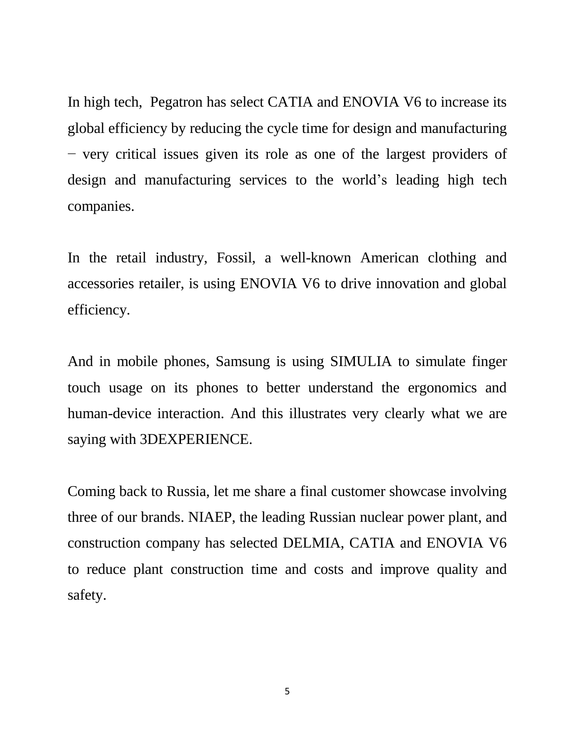In high tech, Pegatron has select CATIA and ENOVIA V6 to increase its global efficiency by reducing the cycle time for design and manufacturing − very critical issues given its role as one of the largest providers of design and manufacturing services to the world's leading high tech companies.

In the retail industry, Fossil, a well-known American clothing and accessories retailer, is using ENOVIA V6 to drive innovation and global efficiency.

And in mobile phones, Samsung is using SIMULIA to simulate finger touch usage on its phones to better understand the ergonomics and human-device interaction. And this illustrates very clearly what we are saying with 3DEXPERIENCE.

Coming back to Russia, let me share a final customer showcase involving three of our brands. NIAEP, the leading Russian nuclear power plant, and construction company has selected DELMIA, CATIA and ENOVIA V6 to reduce plant construction time and costs and improve quality and safety.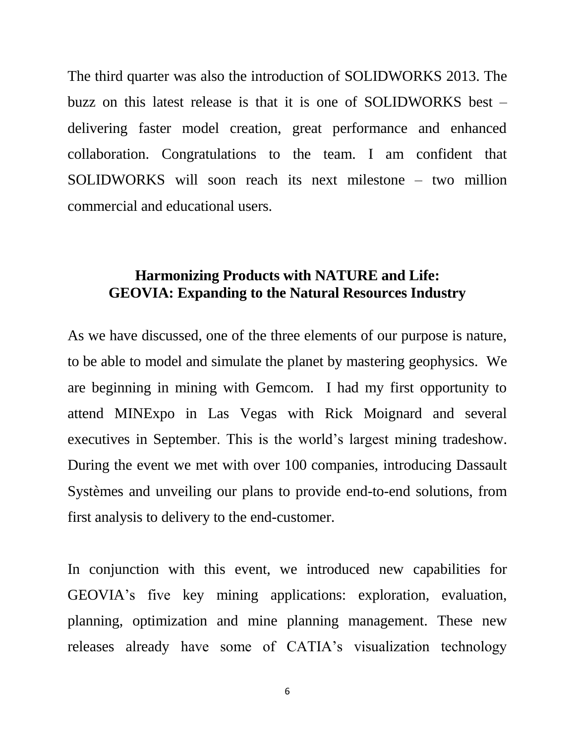The third quarter was also the introduction of SOLIDWORKS 2013. The buzz on this latest release is that it is one of SOLIDWORKS best – delivering faster model creation, great performance and enhanced collaboration. Congratulations to the team. I am confident that SOLIDWORKS will soon reach its next milestone – two million commercial and educational users.

## **Harmonizing Products with NATURE and Life: GEOVIA: Expanding to the Natural Resources Industry**

As we have discussed, one of the three elements of our purpose is nature, to be able to model and simulate the planet by mastering geophysics. We are beginning in mining with Gemcom. I had my first opportunity to attend MINExpo in Las Vegas with Rick Moignard and several executives in September. This is the world's largest mining tradeshow. During the event we met with over 100 companies, introducing Dassault Systèmes and unveiling our plans to provide end-to-end solutions, from first analysis to delivery to the end-customer.

In conjunction with this event, we introduced new capabilities for GEOVIA's five key mining applications: exploration, evaluation, planning, optimization and mine planning management. These new releases already have some of CATIA's visualization technology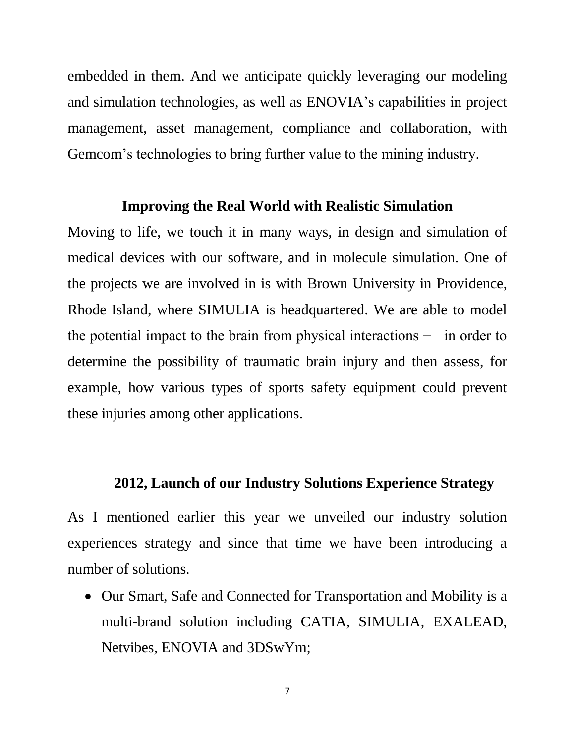embedded in them. And we anticipate quickly leveraging our modeling and simulation technologies, as well as ENOVIA's capabilities in project management, asset management, compliance and collaboration, with Gemcom's technologies to bring further value to the mining industry.

### **Improving the Real World with Realistic Simulation**

Moving to life, we touch it in many ways, in design and simulation of medical devices with our software, and in molecule simulation. One of the projects we are involved in is with Brown University in Providence, Rhode Island, where SIMULIA is headquartered. We are able to model the potential impact to the brain from physical interactions − in order to determine the possibility of traumatic brain injury and then assess, for example, how various types of sports safety equipment could prevent these injuries among other applications.

### **2012, Launch of our Industry Solutions Experience Strategy**

As I mentioned earlier this year we unveiled our industry solution experiences strategy and since that time we have been introducing a number of solutions.

• Our Smart, Safe and Connected for Transportation and Mobility is a multi-brand solution including CATIA, SIMULIA, EXALEAD, Netvibes, ENOVIA and 3DSwYm;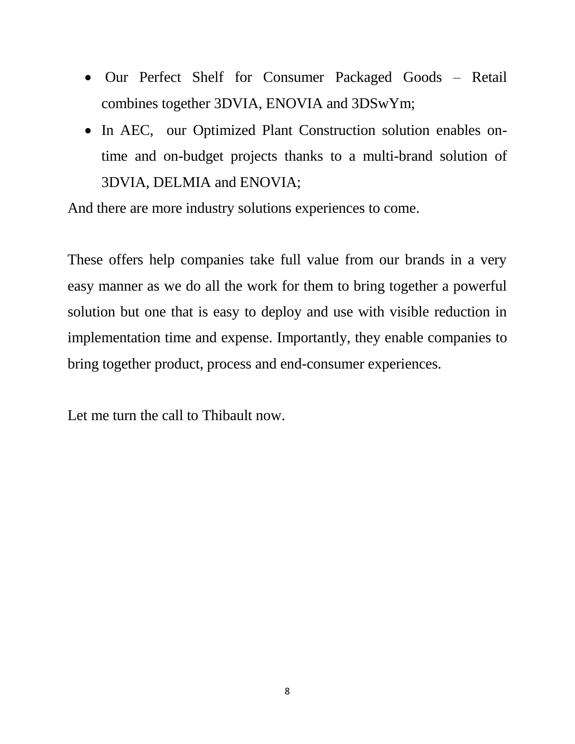- Our Perfect Shelf for Consumer Packaged Goods Retail combines together 3DVIA, ENOVIA and 3DSwYm;
- In AEC, our Optimized Plant Construction solution enables ontime and on-budget projects thanks to a multi-brand solution of 3DVIA, DELMIA and ENOVIA;

And there are more industry solutions experiences to come.

These offers help companies take full value from our brands in a very easy manner as we do all the work for them to bring together a powerful solution but one that is easy to deploy and use with visible reduction in implementation time and expense. Importantly, they enable companies to bring together product, process and end-consumer experiences.

Let me turn the call to Thibault now.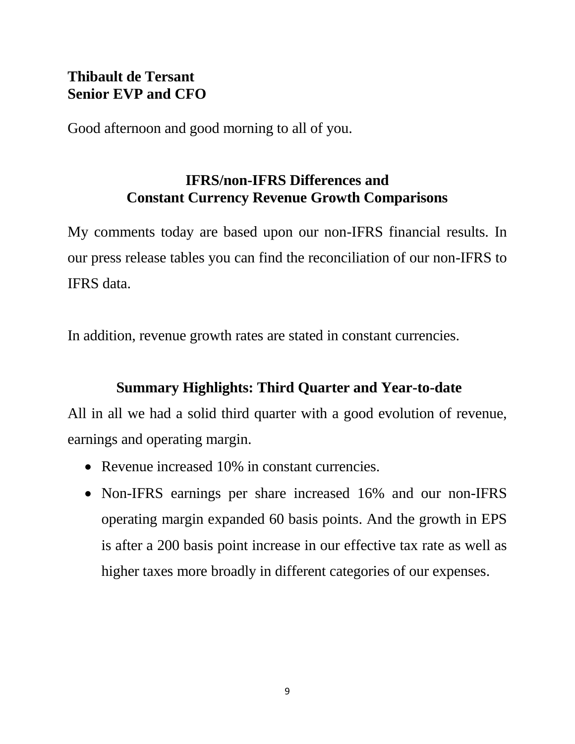## **Thibault de Tersant Senior EVP and CFO**

Good afternoon and good morning to all of you.

# **IFRS/non-IFRS Differences and Constant Currency Revenue Growth Comparisons**

My comments today are based upon our non-IFRS financial results. In our press release tables you can find the reconciliation of our non-IFRS to IFRS data.

In addition, revenue growth rates are stated in constant currencies.

# **Summary Highlights: Third Quarter and Year-to-date**

All in all we had a solid third quarter with a good evolution of revenue, earnings and operating margin.

- Revenue increased 10% in constant currencies.
- Non-IFRS earnings per share increased 16% and our non-IFRS operating margin expanded 60 basis points. And the growth in EPS is after a 200 basis point increase in our effective tax rate as well as higher taxes more broadly in different categories of our expenses.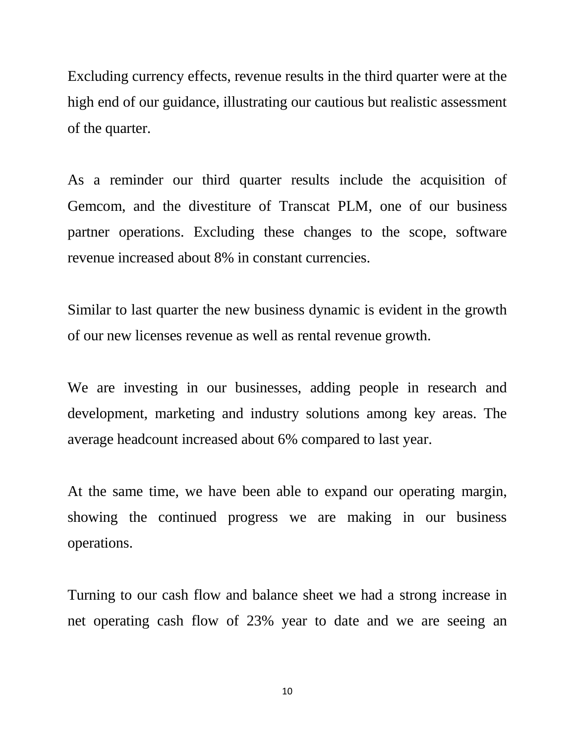Excluding currency effects, revenue results in the third quarter were at the high end of our guidance, illustrating our cautious but realistic assessment of the quarter.

As a reminder our third quarter results include the acquisition of Gemcom, and the divestiture of Transcat PLM, one of our business partner operations. Excluding these changes to the scope, software revenue increased about 8% in constant currencies.

Similar to last quarter the new business dynamic is evident in the growth of our new licenses revenue as well as rental revenue growth.

We are investing in our businesses, adding people in research and development, marketing and industry solutions among key areas. The average headcount increased about 6% compared to last year.

At the same time, we have been able to expand our operating margin, showing the continued progress we are making in our business operations.

Turning to our cash flow and balance sheet we had a strong increase in net operating cash flow of 23% year to date and we are seeing an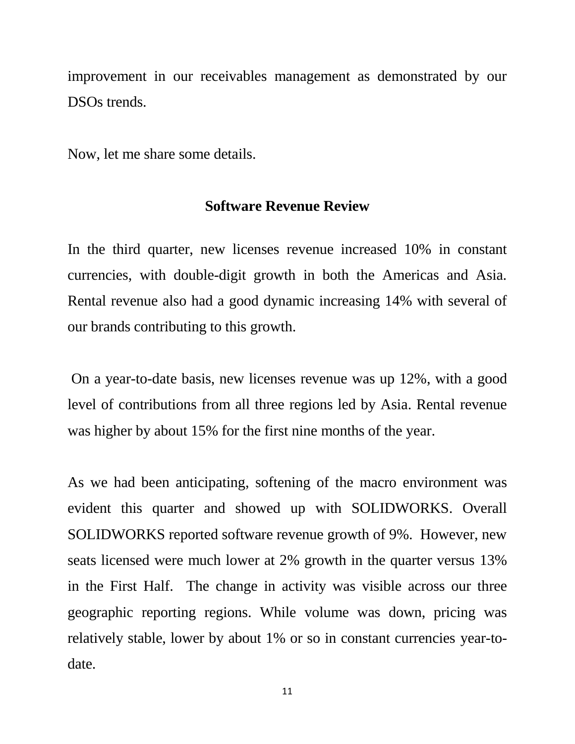improvement in our receivables management as demonstrated by our DSOs trends.

Now, let me share some details.

### **Software Revenue Review**

In the third quarter, new licenses revenue increased 10% in constant currencies, with double-digit growth in both the Americas and Asia. Rental revenue also had a good dynamic increasing 14% with several of our brands contributing to this growth.

On a year-to-date basis, new licenses revenue was up 12%, with a good level of contributions from all three regions led by Asia. Rental revenue was higher by about 15% for the first nine months of the year.

As we had been anticipating, softening of the macro environment was evident this quarter and showed up with SOLIDWORKS. Overall SOLIDWORKS reported software revenue growth of 9%. However, new seats licensed were much lower at 2% growth in the quarter versus 13% in the First Half. The change in activity was visible across our three geographic reporting regions. While volume was down, pricing was relatively stable, lower by about 1% or so in constant currencies year-todate.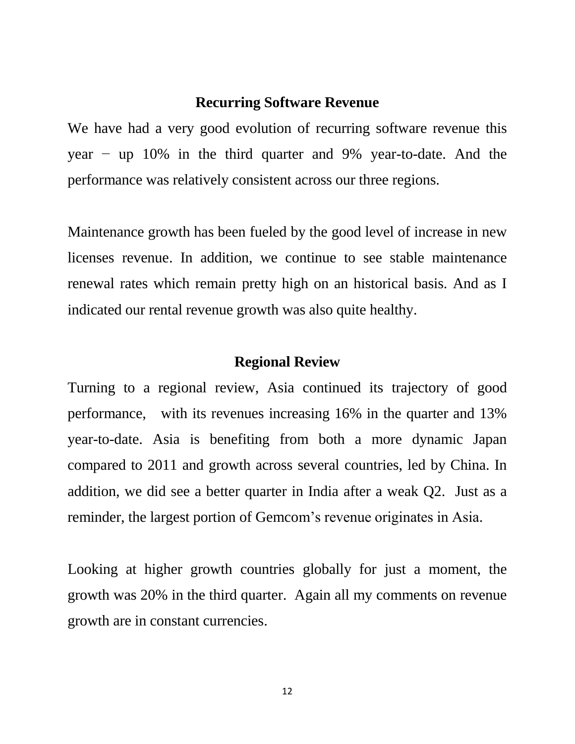#### **Recurring Software Revenue**

We have had a very good evolution of recurring software revenue this year − up 10% in the third quarter and 9% year-to-date. And the performance was relatively consistent across our three regions.

Maintenance growth has been fueled by the good level of increase in new licenses revenue. In addition, we continue to see stable maintenance renewal rates which remain pretty high on an historical basis. And as I indicated our rental revenue growth was also quite healthy.

### **Regional Review**

Turning to a regional review, Asia continued its trajectory of good performance, with its revenues increasing 16% in the quarter and 13% year-to-date. Asia is benefiting from both a more dynamic Japan compared to 2011 and growth across several countries, led by China. In addition, we did see a better quarter in India after a weak Q2. Just as a reminder, the largest portion of Gemcom's revenue originates in Asia.

Looking at higher growth countries globally for just a moment, the growth was 20% in the third quarter. Again all my comments on revenue growth are in constant currencies.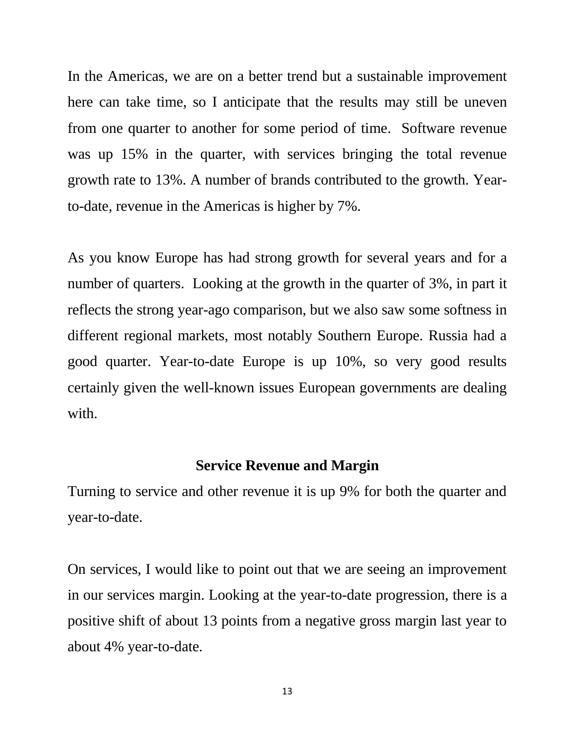In the Americas, we are on a better trend but a sustainable improvement here can take time, so I anticipate that the results may still be uneven from one quarter to another for some period of time. Software revenue was up 15% in the quarter, with services bringing the total revenue growth rate to 13%. A number of brands contributed to the growth. Yearto-date, revenue in the Americas is higher by 7%.

As you know Europe has had strong growth for several years and for a number of quarters. Looking at the growth in the quarter of 3%, in part it reflects the strong year-ago comparison, but we also saw some softness in different regional markets, most notably Southern Europe. Russia had a good quarter. Year-to-date Europe is up 10%, so very good results certainly given the well-known issues European governments are dealing with.

### **Service Revenue and Margin**

Turning to service and other revenue it is up 9% for both the quarter and year-to-date.

On services, I would like to point out that we are seeing an improvement in our services margin. Looking at the year-to-date progression, there is a positive shift of about 13 points from a negative gross margin last year to about 4% year-to-date.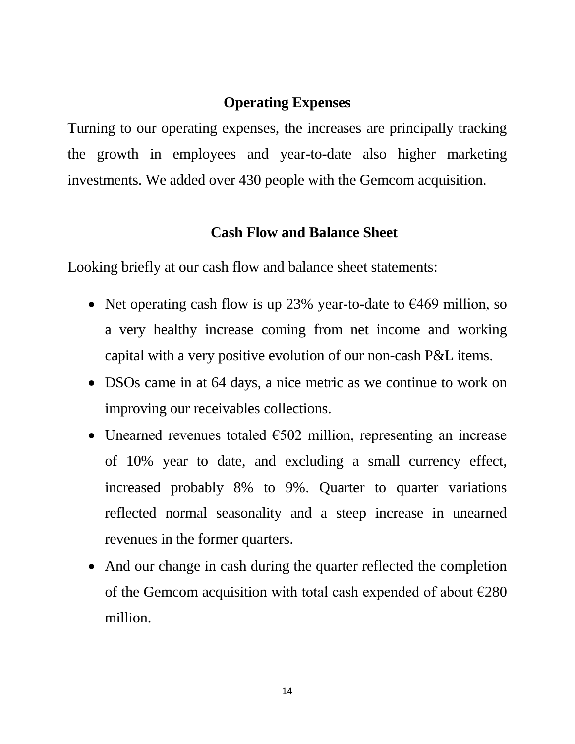### **Operating Expenses**

Turning to our operating expenses, the increases are principally tracking the growth in employees and year-to-date also higher marketing investments. We added over 430 people with the Gemcom acquisition.

### **Cash Flow and Balance Sheet**

Looking briefly at our cash flow and balance sheet statements:

- Net operating cash flow is up 23% year-to-date to  $\epsilon$ 469 million, so a very healthy increase coming from net income and working capital with a very positive evolution of our non-cash P&L items.
- DSOs came in at 64 days, a nice metric as we continue to work on improving our receivables collections.
- Unearned revenues totaled  $\epsilon$ 502 million, representing an increase of 10% year to date, and excluding a small currency effect, increased probably 8% to 9%. Quarter to quarter variations reflected normal seasonality and a steep increase in unearned revenues in the former quarters.
- And our change in cash during the quarter reflected the completion of the Gemcom acquisition with total cash expended of about  $\epsilon$ 280 million.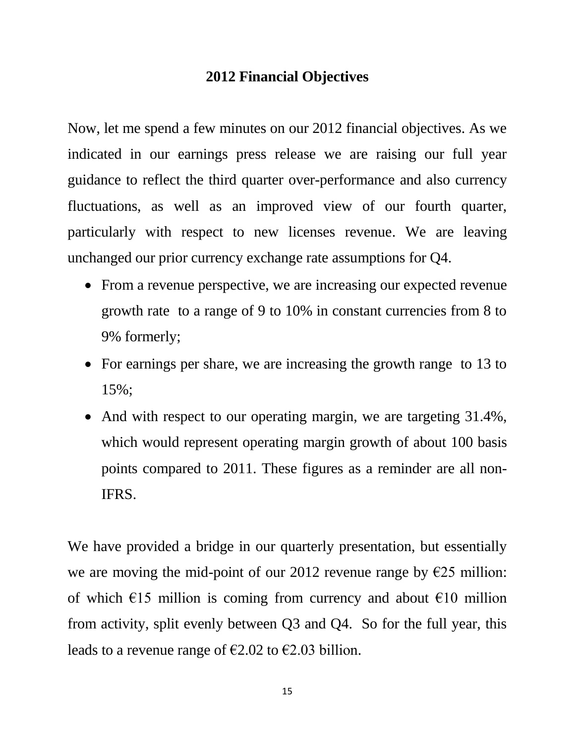## **2012 Financial Objectives**

Now, let me spend a few minutes on our 2012 financial objectives. As we indicated in our earnings press release we are raising our full year guidance to reflect the third quarter over-performance and also currency fluctuations, as well as an improved view of our fourth quarter, particularly with respect to new licenses revenue. We are leaving unchanged our prior currency exchange rate assumptions for Q4.

- From a revenue perspective, we are increasing our expected revenue growth rate to a range of 9 to 10% in constant currencies from 8 to 9% formerly;
- For earnings per share, we are increasing the growth range to 13 to 15%;
- And with respect to our operating margin, we are targeting 31.4%, which would represent operating margin growth of about 100 basis points compared to 2011. These figures as a reminder are all non-IFRS.

We have provided a bridge in our quarterly presentation, but essentially we are moving the mid-point of our 2012 revenue range by €25 million: of which  $\epsilon$ 15 million is coming from currency and about  $\epsilon$ 10 million from activity, split evenly between Q3 and Q4. So for the full year, this leads to a revenue range of  $\epsilon$ 2.02 to  $\epsilon$ 2.03 billion.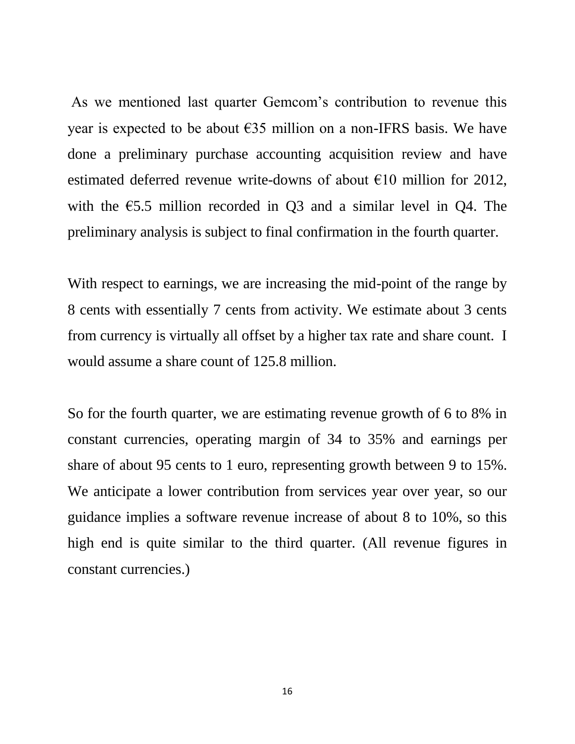As we mentioned last quarter Gemcom's contribution to revenue this year is expected to be about  $\epsilon$ 35 million on a non-IFRS basis. We have done a preliminary purchase accounting acquisition review and have estimated deferred revenue write-downs of about  $E10$  million for 2012, with the  $\epsilon$ 5.5 million recorded in Q3 and a similar level in Q4. The preliminary analysis is subject to final confirmation in the fourth quarter.

With respect to earnings, we are increasing the mid-point of the range by 8 cents with essentially 7 cents from activity. We estimate about 3 cents from currency is virtually all offset by a higher tax rate and share count. I would assume a share count of 125.8 million.

So for the fourth quarter, we are estimating revenue growth of 6 to 8% in constant currencies, operating margin of 34 to 35% and earnings per share of about 95 cents to 1 euro, representing growth between 9 to 15%. We anticipate a lower contribution from services year over year, so our guidance implies a software revenue increase of about 8 to 10%, so this high end is quite similar to the third quarter. (All revenue figures in constant currencies.)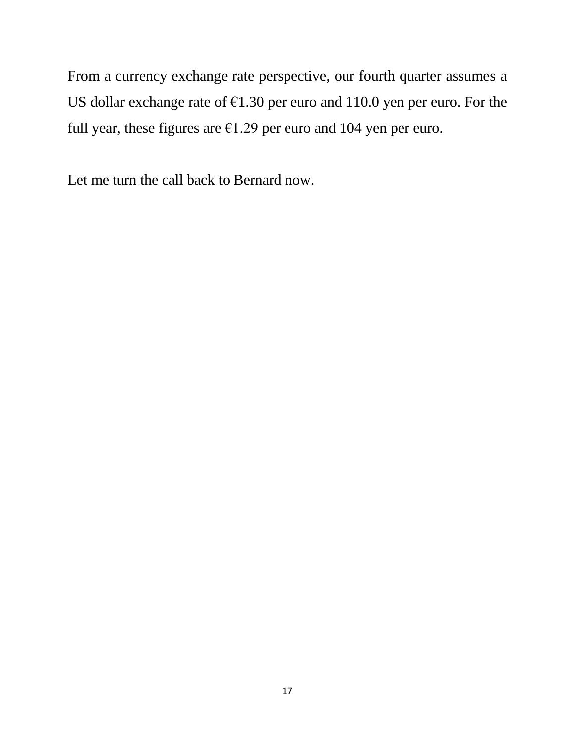From a currency exchange rate perspective, our fourth quarter assumes a US dollar exchange rate of  $\epsilon$ 1.30 per euro and 110.0 yen per euro. For the full year, these figures are  $\epsilon$ 1.29 per euro and 104 yen per euro.

Let me turn the call back to Bernard now.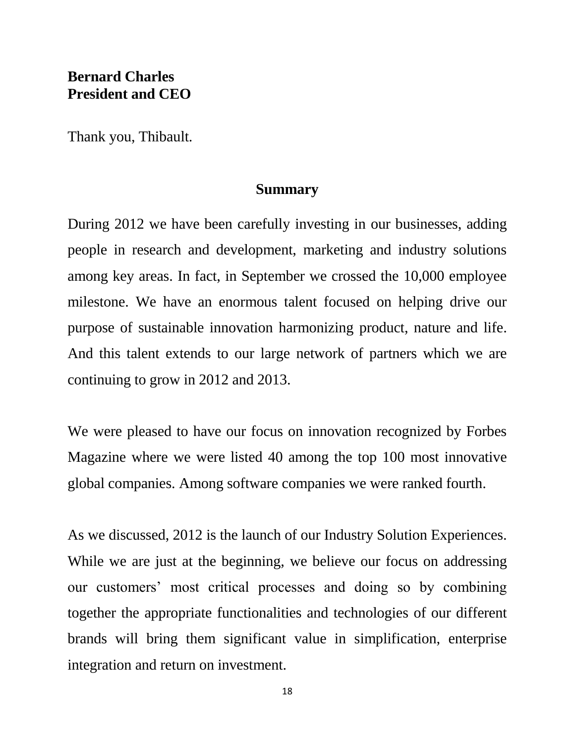## **Bernard Charles President and CEO**

Thank you, Thibault.

#### **Summary**

During 2012 we have been carefully investing in our businesses, adding people in research and development, marketing and industry solutions among key areas. In fact, in September we crossed the 10,000 employee milestone. We have an enormous talent focused on helping drive our purpose of sustainable innovation harmonizing product, nature and life. And this talent extends to our large network of partners which we are continuing to grow in 2012 and 2013.

We were pleased to have our focus on innovation recognized by Forbes Magazine where we were listed 40 among the top 100 most innovative global companies. Among software companies we were ranked fourth.

As we discussed, 2012 is the launch of our Industry Solution Experiences. While we are just at the beginning, we believe our focus on addressing our customers' most critical processes and doing so by combining together the appropriate functionalities and technologies of our different brands will bring them significant value in simplification, enterprise integration and return on investment.